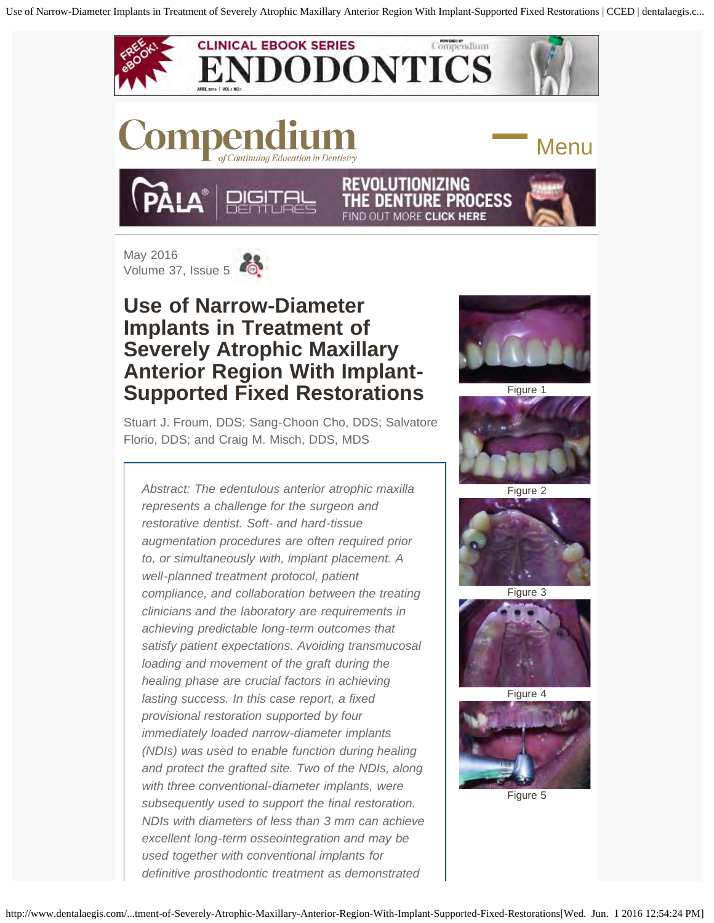<span id="page-0-0"></span>

# **Use of Narrow-Diameter Implants in Treatment of Severely Atrophic Maxillary Anterior Region With Implant-Supported Fixed Restorations**

Stuart J. Froum, DDS; Sang-Choon Cho, DDS; Salvatore Florio, DDS; and Craig M. Misch, DDS, MDS

*Abstract: The edentulous anterior atrophic maxilla represents a challenge for the surgeon and restorative dentist. Soft- and hard-tissue augmentation procedures are often required prior to, or simultaneously with, implant placement. A well-planned treatment protocol, patient compliance, and collaboration between the treating clinicians and the laboratory are requirements in achieving predictable long-term outcomes that satisfy patient expectations. Avoiding transmucosal loading and movement of the graft during the healing phase are crucial factors in achieving lasting success. In this case report, a fixed provisional restoration supported by four immediately loaded narrow-diameter implants (NDIs) was used to enable function during healing and protect the grafted site. Two of the NDIs, along with three conventional-diameter implants, were subsequently used to support the final restoration. NDIs with diameters of less than 3 mm can achieve excellent long-term osseointegration and may be used together with conventional implants for definitive prosthodontic treatment as demonstrated*



Figure 1



Figure 2



Figure 3



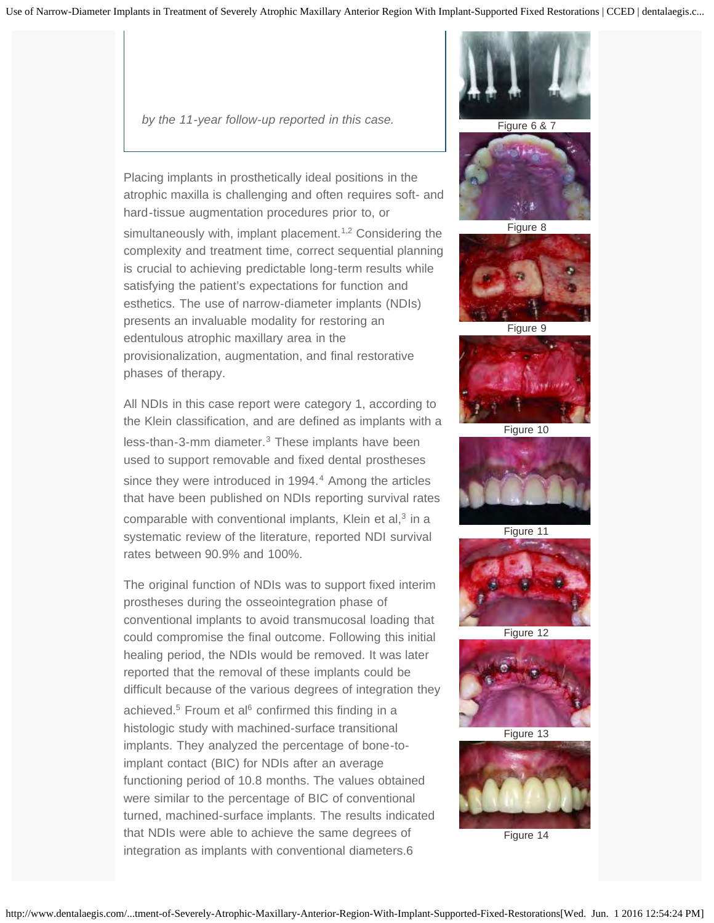*by the 11-year follow-up reported in this case.*

Placing implants in prosthetically ideal positions in the atrophic maxilla is challenging and often requires soft- and hard-tissue augmentation procedures prior to, or

simultaneously with, implant placement.<sup>1,2</sup> Considering the complexity and treatment time, correct sequential planning is crucial to achieving predictable long-term results while satisfying the patient's expectations for function and esthetics. The use of narrow-diameter implants (NDIs) presents an invaluable modality for restoring an edentulous atrophic maxillary area in the provisionalization, augmentation, and final restorative phases of therapy.

All NDIs in this case report were category 1, according to the Klein classification, and are defined as implants with a less-than-3-mm diameter.<sup>3</sup> These implants have been used to support removable and fixed dental prostheses since they were introduced in 1994.<sup>4</sup> Among the articles that have been published on NDIs reporting survival rates comparable with conventional implants, Klein et al, $3$  in a systematic review of the literature, reported NDI survival rates between 90.9% and 100%.

The original function of NDIs was to support fixed interim prostheses during the osseointegration phase of conventional implants to avoid transmucosal loading that could compromise the final outcome. Following this initial healing period, the NDIs would be removed. It was later reported that the removal of these implants could be difficult because of the various degrees of integration they

achieved. $5$  Froum et al $6$  confirmed this finding in a histologic study with machined-surface transitional implants. They analyzed the percentage of bone-toimplant contact (BIC) for NDIs after an average functioning period of 10.8 months. The values obtained were similar to the percentage of BIC of conventional turned, machined-surface implants. The results indicated that NDIs were able to achieve the same degrees of integration as implants with conventional diameters.6



Figure 6 & 7



Figure 8



Figure 9



Figure 10



Figure 11



Figure 12



Figure 13

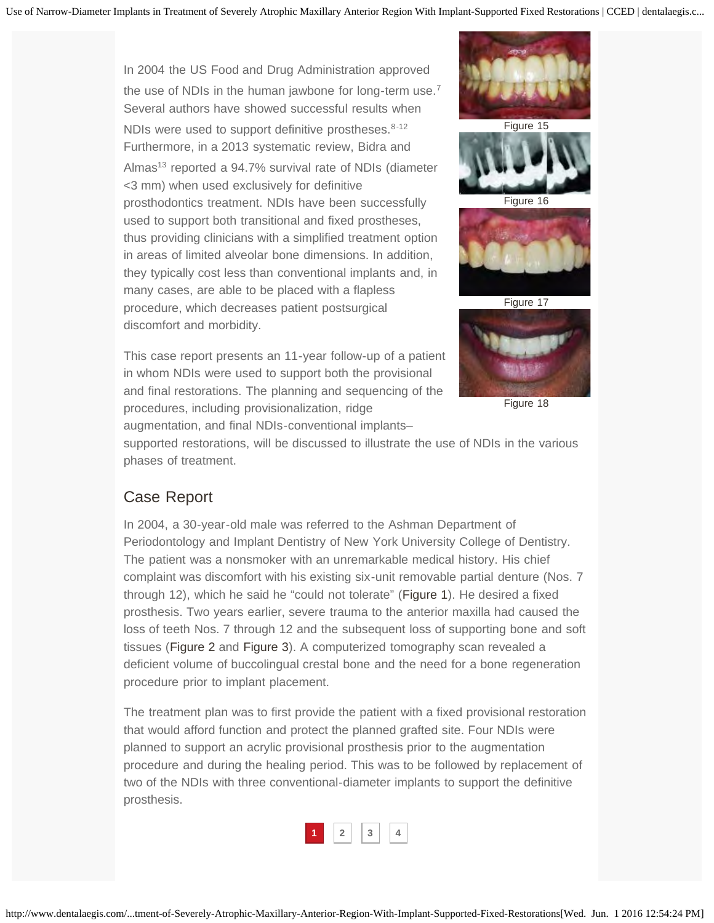In 2004 the US Food and Drug Administration approved the use of NDIs in the human jawbone for long-term use.<sup>7</sup> Several authors have showed successful results when NDIs were used to support definitive prostheses.<sup>8-12</sup> Furthermore, in a 2013 systematic review, Bidra and Almas<sup>13</sup> reported a 94.7% survival rate of NDIs (diameter <3 mm) when used exclusively for definitive prosthodontics treatment. NDIs have been successfully used to support both transitional and fixed prostheses, thus providing clinicians with a simplified treatment option in areas of limited alveolar bone dimensions. In addition, they typically cost less than conventional implants and, in many cases, are able to be placed with a flapless procedure, which decreases patient postsurgical discomfort and morbidity.

This case report presents an 11-year follow-up of a patient in whom NDIs were used to support both the provisional and final restorations. The planning and sequencing of the procedures, including provisionalization, ridge

augmentation, and final NDIs-conventional implants–







Figure 16



Figure 17



Figure 18

supported restorations, will be discussed to illustrate the use of NDIs in the various phases of treatment.

### Case Report

In 2004, a 30-year-old male was referred to the Ashman Department of Periodontology and Implant Dentistry of New York University College of Dentistry. The patient was a nonsmoker with an unremarkable medical history. His chief complaint was discomfort with his existing six-unit removable partial denture (Nos. 7 through 12), which he said he "could not tolerate" [\(Figure 1](javascript:tryClick()). He desired a fixed prosthesis. Two years earlier, severe trauma to the anterior maxilla had caused the loss of teeth Nos. 7 through 12 and the subsequent loss of supporting bone and soft tissues ([Figure 2](javascript:tryClick() and [Figure 3\)](javascript:tryClick(). A computerized tomography scan revealed a deficient volume of buccolingual crestal bone and the need for a bone regeneration procedure prior to implant placement.

The treatment plan was to first provide the patient with a fixed provisional restoration that would afford function and protect the planned grafted site. Four NDIs were planned to support an acrylic provisional prosthesis prior to the augmentation procedure and during the healing period. This was to be followed by replacement of two of the NDIs with three conventional-diameter implants to support the definitive prosthesis.

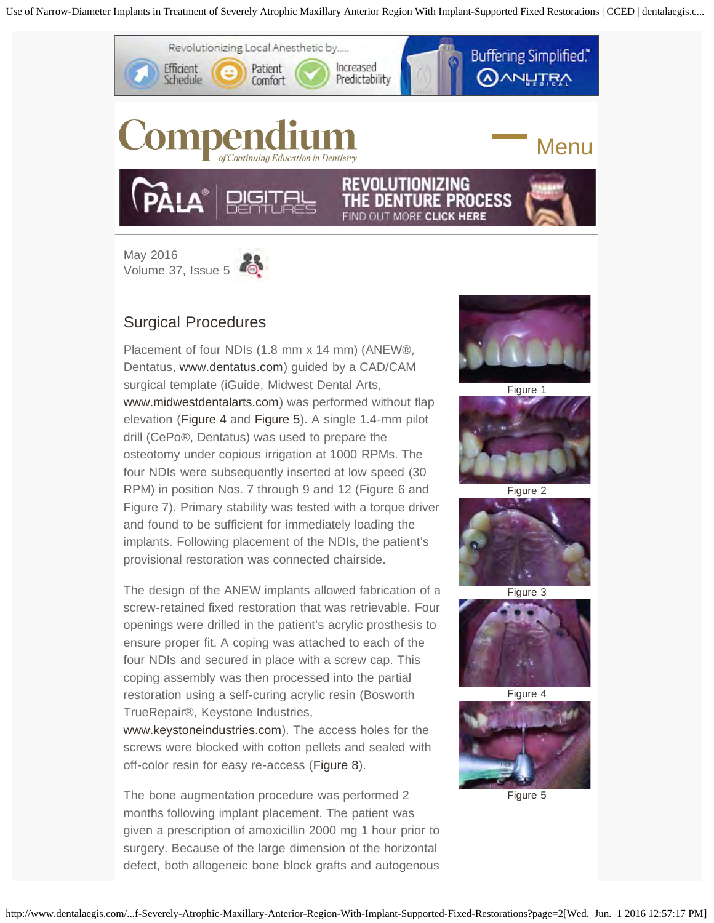<span id="page-3-0"></span>

# Surgical Procedures

Placement of four NDIs (1.8 mm x 14 mm) (ANEW®, Dentatus, [www.dentatus.com](http://www.dentatus.com/)) guided by a CAD/CAM surgical template (iGuide, Midwest Dental Arts, [www.midwestdentalarts.com\)](http://www.midwestdentalarts.com/) was performed without flap elevation ([Figure 4](javascript:tryClick() and [Figure 5\)](javascript:tryClick(). A single 1.4-mm pilot drill (CePo®, Dentatus) was used to prepare the osteotomy under copious irrigation at 1000 RPMs. The four NDIs were subsequently inserted at low speed (30 RPM) in position Nos. 7 through 9 and 12 (Figure 6 and Figure 7). Primary stability was tested with a torque driver and found to be sufficient for immediately loading the implants. Following placement of the NDIs, the patient's provisional restoration was connected chairside.

The design of the ANEW implants allowed fabrication of a screw-retained fixed restoration that was retrievable. Four openings were drilled in the patient's acrylic prosthesis to ensure proper fit. A coping was attached to each of the four NDIs and secured in place with a screw cap. This coping assembly was then processed into the partial restoration using a self-curing acrylic resin (Bosworth TrueRepair®, Keystone Industries,

[www.keystoneindustries.com\)](http://www.keystoneindustries.com/). The access holes for the screws were blocked with cotton pellets and sealed with off-color resin for easy re-access ([Figure 8\)](javascript:tryClick().

The bone augmentation procedure was performed 2 months following implant placement. The patient was given a prescription of amoxicillin 2000 mg 1 hour prior to surgery. Because of the large dimension of the horizontal defect, both allogeneic bone block grafts and autogenous



Figure 1











Figure 5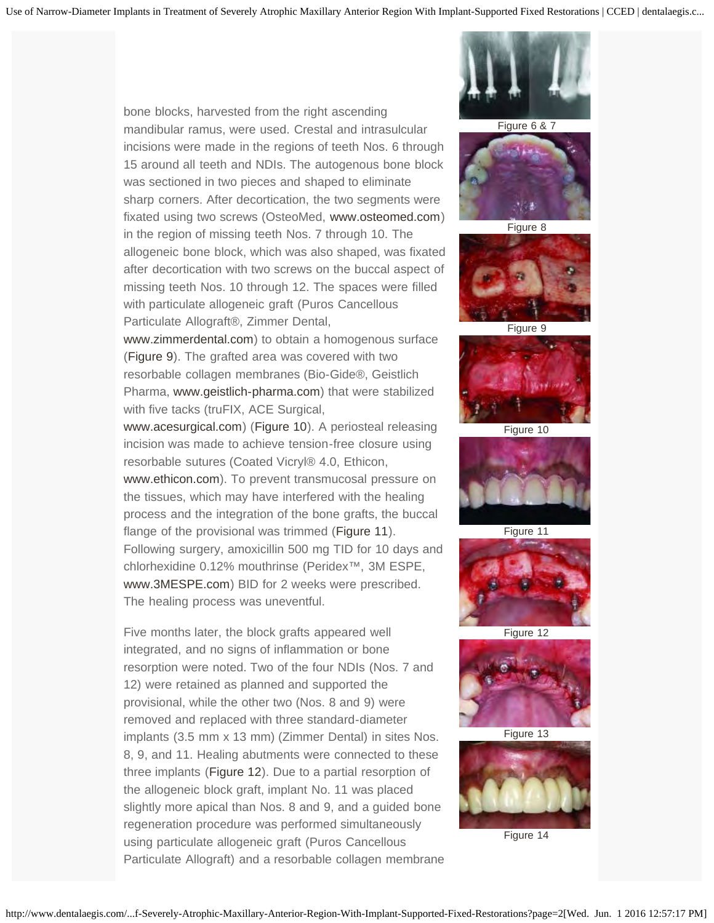bone blocks, harvested from the right ascending mandibular ramus, were used. Crestal and intrasulcular incisions were made in the regions of teeth Nos. 6 through 15 around all teeth and NDIs. The autogenous bone block was sectioned in two pieces and shaped to eliminate sharp corners. After decortication, the two segments were fixated using two screws (OsteoMed, [www.osteomed.com](http://www.osteomed.com/)) in the region of missing teeth Nos. 7 through 10. The allogeneic bone block, which was also shaped, was fixated after decortication with two screws on the buccal aspect of missing teeth Nos. 10 through 12. The spaces were filled with particulate allogeneic graft (Puros Cancellous Particulate Allograft®, Zimmer Dental,

[www.zimmerdental.com\)](http://www.zimmerdental.com/) to obtain a homogenous surface ([Figure 9\)](javascript:tryClick(). The grafted area was covered with two resorbable collagen membranes (Bio-Gide®, Geistlich Pharma, [www.geistlich-pharma.com\)](http://www.geistlich-pharma.com/) that were stabilized with five tacks (truFIX, ACE Surgical,

[www.acesurgical.com\)](http://www.acesurgical.com/) ([Figure 10\)](javascript:tryClick(). A periosteal releasing incision was made to achieve tension-free closure using resorbable sutures (Coated Vicryl® 4.0, Ethicon, [www.ethicon.com\)](http://www.ethicon.com/). To prevent transmucosal pressure on the tissues, which may have interfered with the healing process and the integration of the bone grafts, the buccal flange of the provisional was trimmed [\(Figure 11](javascript:tryClick()). Following surgery, amoxicillin 500 mg TID for 10 days and chlorhexidine 0.12% mouthrinse (Peridex™, 3M ESPE, [www.3MESPE.com\)](http://www.3mespe.com/) BID for 2 weeks were prescribed. The healing process was uneventful.

Five months later, the block grafts appeared well integrated, and no signs of inflammation or bone resorption were noted. Two of the four NDIs (Nos. 7 and 12) were retained as planned and supported the provisional, while the other two (Nos. 8 and 9) were removed and replaced with three standard-diameter implants (3.5 mm x 13 mm) (Zimmer Dental) in sites Nos. 8, 9, and 11. Healing abutments were connected to these three implants ([Figure 12\)](javascript:tryClick(). Due to a partial resorption of the allogeneic block graft, implant No. 11 was placed slightly more apical than Nos. 8 and 9, and a guided bone regeneration procedure was performed simultaneously using particulate allogeneic graft (Puros Cancellous Particulate Allograft) and a resorbable collagen membrane



Figure 6 & 7



Figure 8



Figure 9



Figure 10



Figure 11



Figure 12



Figure 13

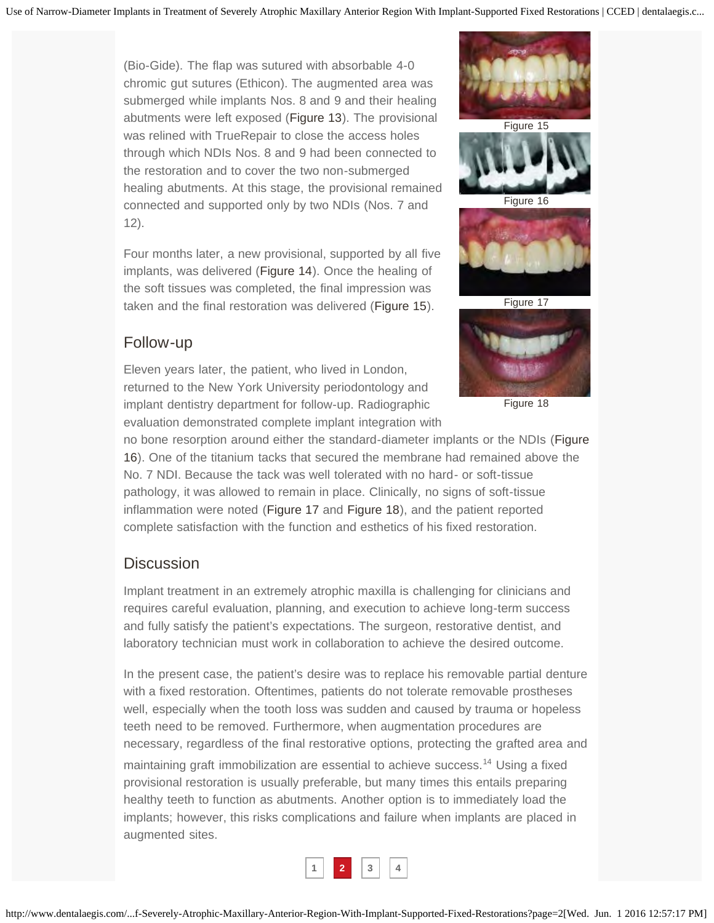(Bio-Gide). The flap was sutured with absorbable 4-0 chromic gut sutures (Ethicon). The augmented area was submerged while implants Nos. 8 and 9 and their healing abutments were left exposed ([Figure 13\)](javascript:tryClick(). The provisional was relined with TrueRepair to close the access holes through which NDIs Nos. 8 and 9 had been connected to the restoration and to cover the two non-submerged healing abutments. At this stage, the provisional remained connected and supported only by two NDIs (Nos. 7 and 12).

Four months later, a new provisional, supported by all five implants, was delivered ([Figure 14](javascript:tryClick()). Once the healing of the soft tissues was completed, the final impression was taken and the final restoration was delivered [\(Figure 15](javascript:tryClick()).

#### Follow-up

Eleven years later, the patient, who lived in London, returned to the New York University periodontology and implant dentistry department for follow-up. Radiographic evaluation demonstrated complete implant integration with





Figure 16



Figure 17



Figure 18

no bone resorption around either the standard-diameter implants or the NDIs ([Figure](javascript:tryClick() [16](javascript:tryClick()). One of the titanium tacks that secured the membrane had remained above the No. 7 NDI. Because the tack was well tolerated with no hard- or soft-tissue pathology, it was allowed to remain in place. Clinically, no signs of soft-tissue inflammation were noted ([Figure 17](javascript:tryClick() and [Figure 18\)](javascript:tryClick(), and the patient reported complete satisfaction with the function and esthetics of his fixed restoration.

#### **Discussion**

Implant treatment in an extremely atrophic maxilla is challenging for clinicians and requires careful evaluation, planning, and execution to achieve long-term success and fully satisfy the patient's expectations. The surgeon, restorative dentist, and laboratory technician must work in collaboration to achieve the desired outcome.

In the present case, the patient's desire was to replace his removable partial denture with a fixed restoration. Oftentimes, patients do not tolerate removable prostheses well, especially when the tooth loss was sudden and caused by trauma or hopeless teeth need to be removed. Furthermore, when augmentation procedures are necessary, regardless of the final restorative options, protecting the grafted area and maintaining graft immobilization are essential to achieve success.14 Using a fixed provisional restoration is usually preferable, but many times this entails preparing healthy teeth to function as abutments. Another option is to immediately load the implants; however, this risks complications and failure when implants are placed in augmented sites.

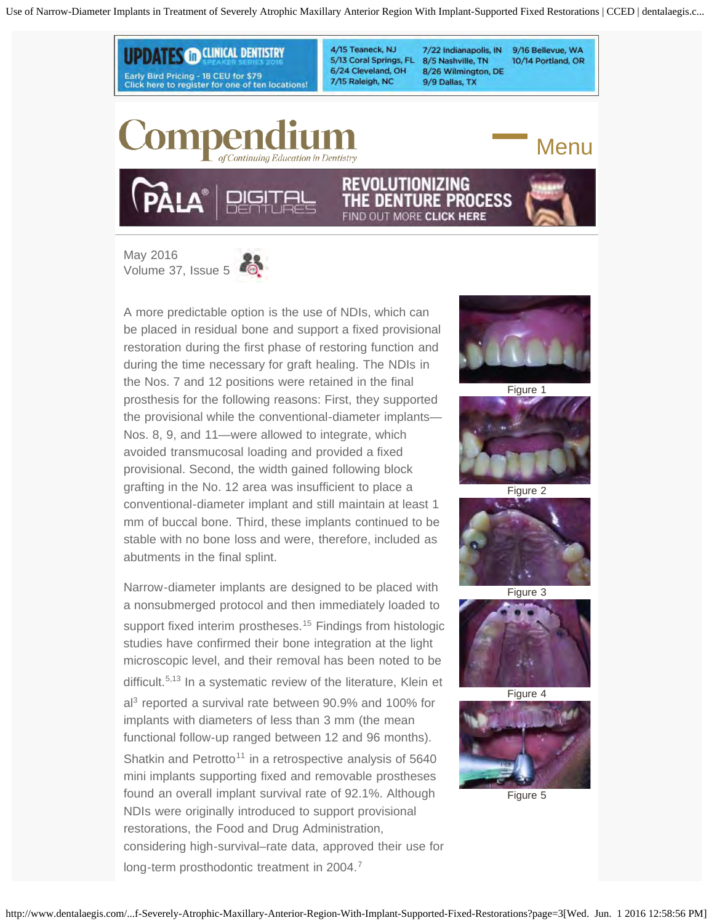<span id="page-6-0"></span>

[May 2016](http://www.dentalaegis.com/cced/2016/05/)  [Volume 37, Issue 5](http://www.dentalaegis.com/cced/2016/05/)



Narrow-diameter implants are designed to be placed with a nonsubmerged protocol and then immediately loaded to support fixed interim prostheses.<sup>15</sup> Findings from histologic studies have confirmed their bone integration at the light microscopic level, and their removal has been noted to be difficult.<sup>5,13</sup> In a systematic review of the literature, Klein et al3 reported a survival rate between 90.9% and 100% for implants with diameters of less than 3 mm (the mean functional follow-up ranged between 12 and 96 months). Shatkin and Petrotto<sup>11</sup> in a retrospective analysis of  $5640$ mini implants supporting fixed and removable prostheses found an overall implant survival rate of 92.1%. Although NDIs were originally introduced to support provisional restorations, the Food and Drug Administration, considering high-survival–rate data, approved their use for long-term prosthodontic treatment in 2004.<sup>7</sup>



Figure 1











Figure 5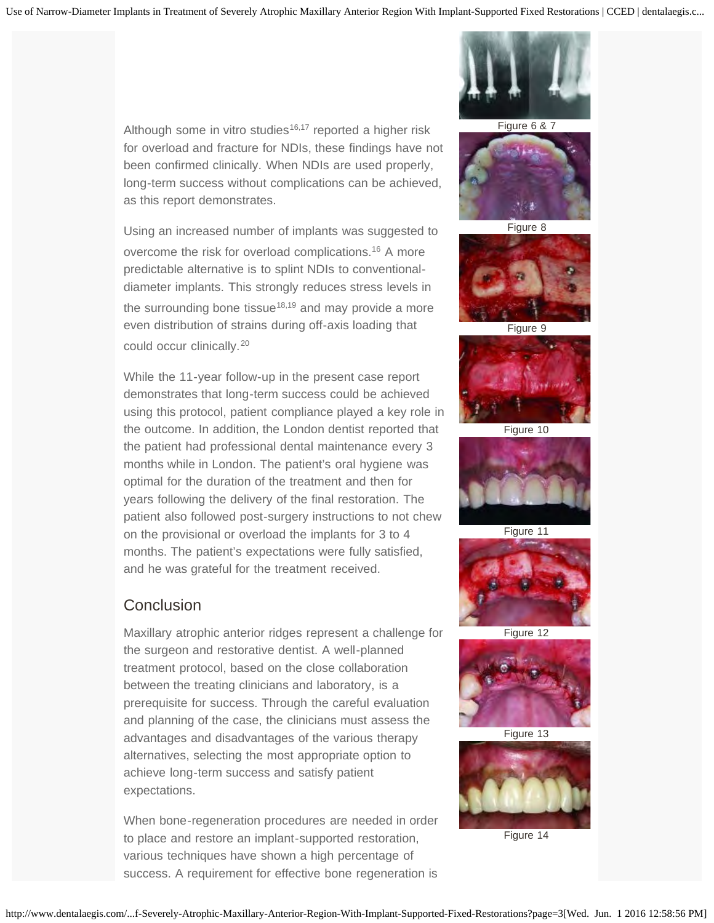Although some in vitro studies<sup>16,17</sup> reported a higher risk for overload and fracture for NDIs, these findings have not been confirmed clinically. When NDIs are used properly, long-term success without complications can be achieved, as this report demonstrates.

Using an increased number of implants was suggested to overcome the risk for overload complications.<sup>16</sup> A more predictable alternative is to splint NDIs to conventionaldiameter implants. This strongly reduces stress levels in the surrounding bone tissue<sup>18,19</sup> and may provide a more even distribution of strains during off-axis loading that could occur clinically.<sup>20</sup>

While the 11-year follow-up in the present case report demonstrates that long-term success could be achieved using this protocol, patient compliance played a key role in the outcome. In addition, the London dentist reported that the patient had professional dental maintenance every 3 months while in London. The patient's oral hygiene was optimal for the duration of the treatment and then for years following the delivery of the final restoration. The patient also followed post-surgery instructions to not chew on the provisional or overload the implants for 3 to 4 months. The patient's expectations were fully satisfied, and he was grateful for the treatment received.

#### **Conclusion**

Maxillary atrophic anterior ridges represent a challenge for the surgeon and restorative dentist. A well-planned treatment protocol, based on the close collaboration between the treating clinicians and laboratory, is a prerequisite for success. Through the careful evaluation and planning of the case, the clinicians must assess the advantages and disadvantages of the various therapy alternatives, selecting the most appropriate option to achieve long-term success and satisfy patient expectations.

When bone-regeneration procedures are needed in order to place and restore an implant-supported restoration, various techniques have shown a high percentage of success. A requirement for effective bone regeneration is



Figure 6 & 7



Figure 8



Figure 9



Figure 10



Figure 11



Figure 12





Figure 14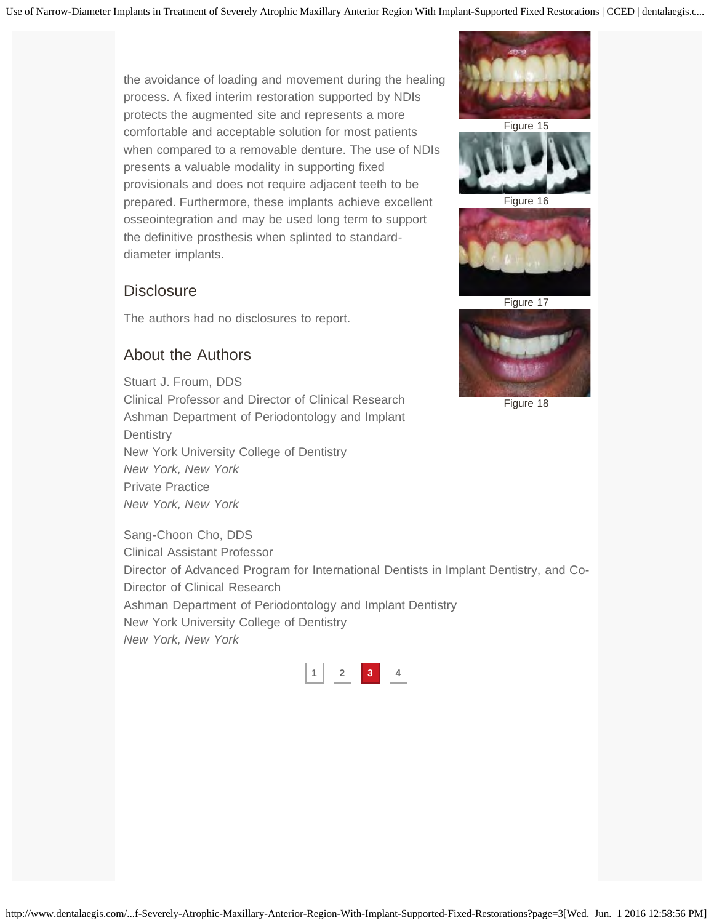the avoidance of loading and movement during the healing process. A fixed interim restoration supported by NDIs protects the augmented site and represents a more comfortable and acceptable solution for most patients when compared to a removable denture. The use of NDIs presents a valuable modality in supporting fixed provisionals and does not require adjacent teeth to be prepared. Furthermore, these implants achieve excellent osseointegration and may be used long term to support the definitive prosthesis when splinted to standarddiameter implants.

### **Disclosure**

The authors had no disclosures to report.

### About the Authors

Stuart J. Froum, DDS Clinical Professor and Director of Clinical Research Ashman Department of Periodontology and Implant **Dentistry** New York University College of Dentistry *New York, New York* Private Practice *New York, New York*

Sang-Choon Cho, DDS Clinical Assistant Professor Director of Advanced Program for International Dentists in Implant Dentistry, and Co-Director of Clinical Research Ashman Department of Periodontology and Implant Dentistry New York University College of Dentistry *New York, New York*







Figure 16



Figure 17

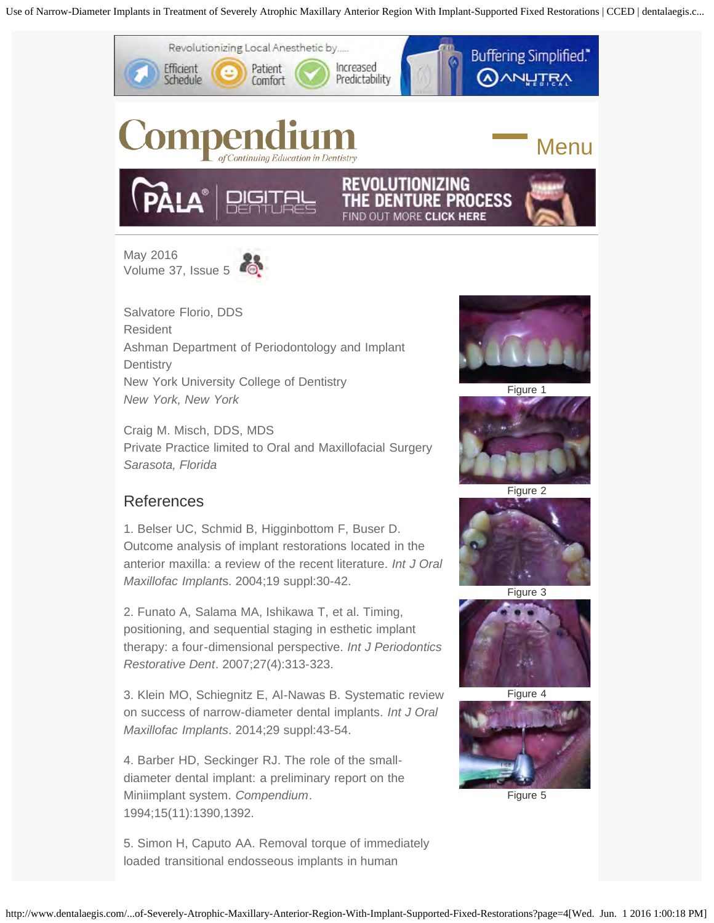<span id="page-9-0"></span>

[May 2016](http://www.dentalaegis.com/cced/2016/05/)  [Volume 37, Issue 5](http://www.dentalaegis.com/cced/2016/05/)



Salvatore Florio, DDS Resident Ashman Department of Periodontology and Implant **Dentistry** New York University College of Dentistry *New York, New York*

Craig M. Misch, DDS, MDS Private Practice limited to Oral and Maxillofacial Surgery *Sarasota, Florida*

# References

1. Belser UC, Schmid B, Higginbottom F, Buser D. Outcome analysis of implant restorations located in the anterior maxilla: a review of the recent literature. *Int J Oral Maxillofac Implant*s. 2004;19 suppl:30-42.

2. Funato A, Salama MA, Ishikawa T, et al. Timing, positioning, and sequential staging in esthetic implant therapy: a four-dimensional perspective. *Int J Periodontics Restorative Dent*. 2007;27(4):313-323.

3. Klein MO, Schiegnitz E, Al-Nawas B. Systematic review on success of narrow-diameter dental implants. *Int J Oral Maxillofac Implants*. 2014;29 suppl:43-54.

4. Barber HD, Seckinger RJ. The role of the smalldiameter dental implant: a preliminary report on the Miniimplant system. *Compendium*. 1994;15(11):1390,1392.

5. Simon H, Caputo AA. Removal torque of immediately loaded transitional endosseous implants in human



Figure 1





Figure 3





Figure 5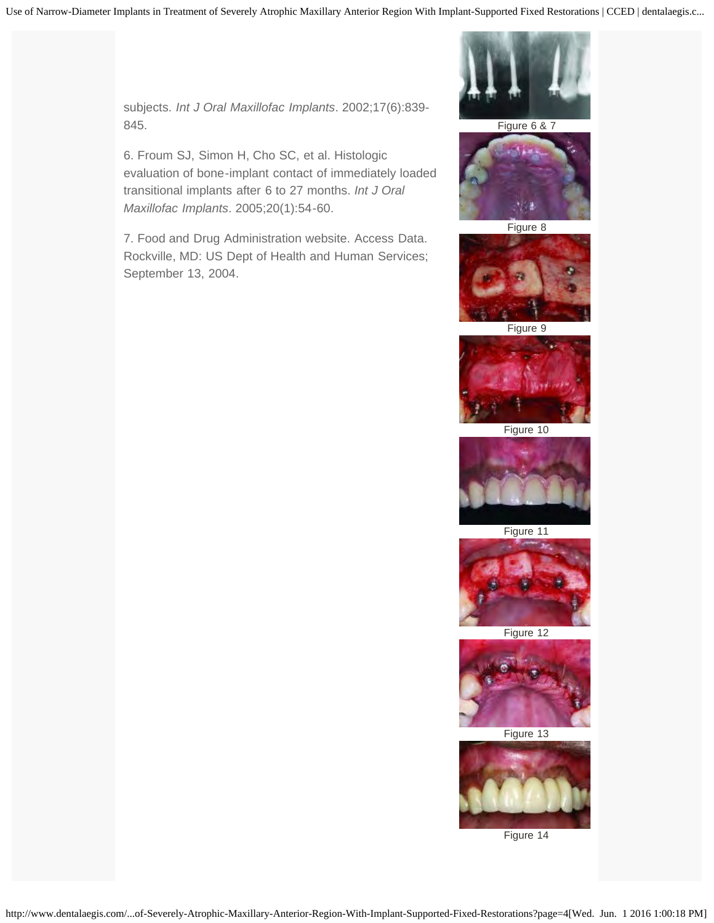subjects. *Int J Oral Maxillofac Implants*. 2002;17(6):839- 845.

6. Froum SJ, Simon H, Cho SC, et al. Histologic evaluation of bone-implant contact of immediately loaded transitional implants after 6 to 27 months. *Int J Oral Maxillofac Implants*. 2005;20(1):54-60.

7. Food and Drug Administration website. Access Data. Rockville, MD: US Dept of Health and Human Services; September 13, 2004.



Figure 6 & 7



Figure 8



Figure 9



Figure 10



Figure 11



Figure 12



Figure 13

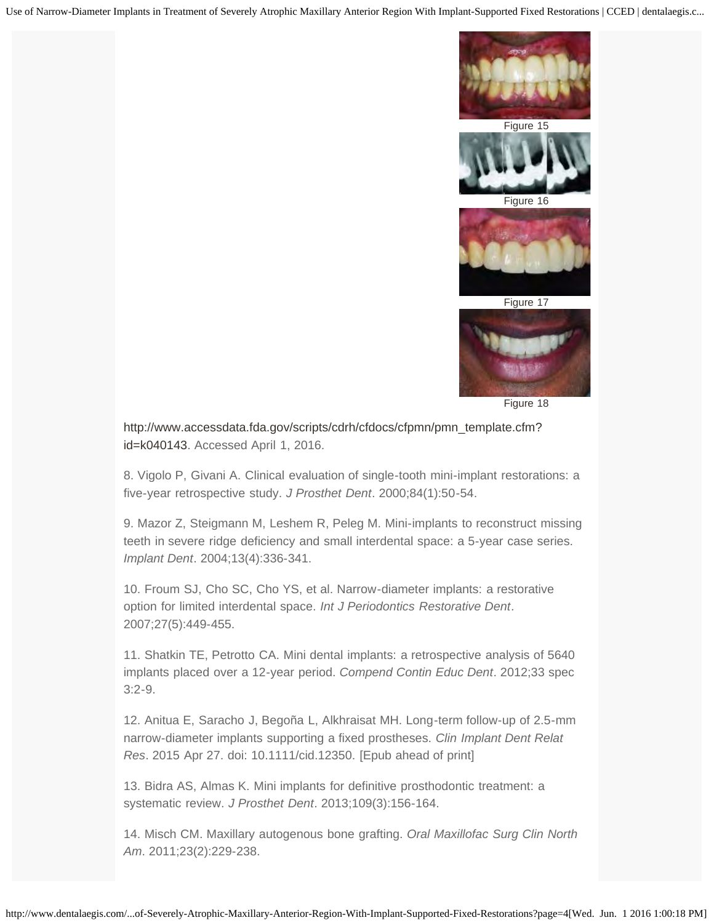



Figure 16



Figure 17



Figure 18

[http://www.accessdata.fda.gov/scripts/cdrh/cfdocs/cfpmn/pmn\\_template.cfm?](http://www.accessdata.fda.gov/scripts/cdrh/cfdocs/cfpmn/pmn_template.cfm?id=k040143) [id=k040143.](http://www.accessdata.fda.gov/scripts/cdrh/cfdocs/cfpmn/pmn_template.cfm?id=k040143) Accessed April 1, 2016.

8. Vigolo P, Givani A. Clinical evaluation of single-tooth mini-implant restorations: a five-year retrospective study. *J Prosthet Dent*. 2000;84(1):50-54.

9. Mazor Z, Steigmann M, Leshem R, Peleg M. Mini-implants to reconstruct missing teeth in severe ridge deficiency and small interdental space: a 5-year case series. *Implant Dent*. 2004;13(4):336-341.

10. Froum SJ, Cho SC, Cho YS, et al. Narrow-diameter implants: a restorative option for limited interdental space. *Int J Periodontics Restorative Dent*. 2007;27(5):449-455.

11. Shatkin TE, Petrotto CA. Mini dental implants: a retrospective analysis of 5640 implants placed over a 12-year period. *Compend Contin Educ Dent*. 2012;33 spec 3:2-9.

12. Anitua E, Saracho J, Begoña L, Alkhraisat MH. Long-term follow-up of 2.5-mm narrow-diameter implants supporting a fixed prostheses. *Clin Implant Dent Relat Res*. 2015 Apr 27. doi: 10.1111/cid.12350. [Epub ahead of print]

13. Bidra AS, Almas K. Mini implants for definitive prosthodontic treatment: a systematic review. *J Prosthet Dent*. 2013;109(3):156-164.

14. Misch CM. Maxillary autogenous bone grafting. *Oral Maxillofac Surg Clin North Am*. 2011;23(2):229-238.